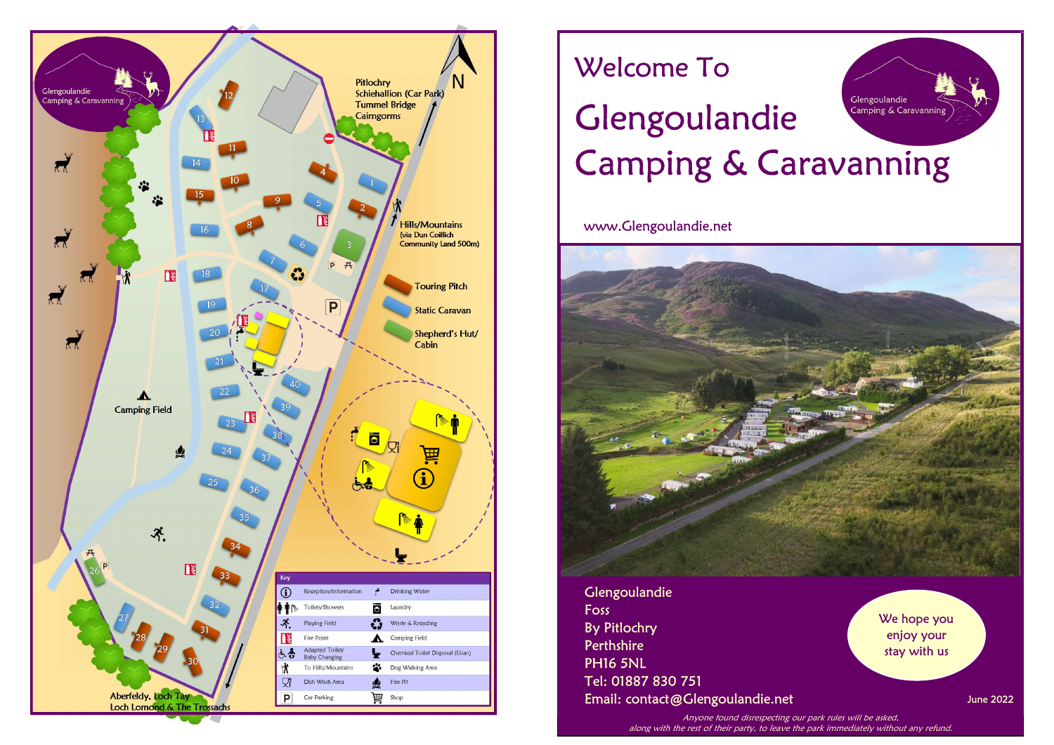

# Welcome To

# Glengoulandie Glengoulandie Camping & Caravanning Camping & Caravanning

www.Glengoulandie.net



Glengoulandie Foss By Pitlochry **Perthshire** PH16 5NL Tel: 01887 830 751 Email: contact@Glengoulandie.net

We hope you enjoy your stay with us

June 2022

Anyone found disrespecting our park rules will be asked, along with the rest of their party, to leave the park immediately without any refund.